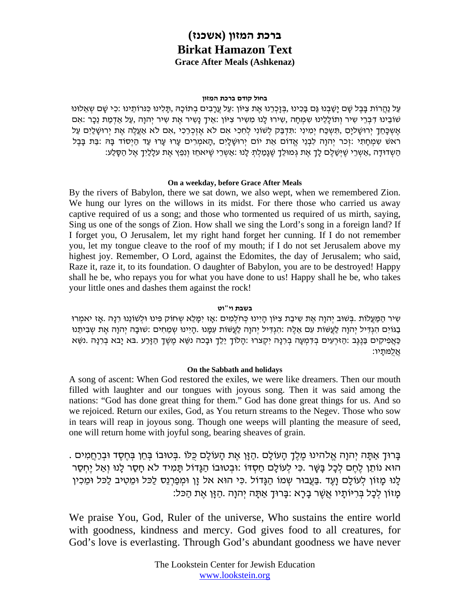#### **בחול קודם ברכת המזון**

עַל נַהֲרוֹת בַּבֶל שֶׁם יַשַּׁבְנוּ גַּם בַּכִּינוּ ,בַּזָכְרֶנוּ אֶת צִיּוֹן :עַל עֲרָבִים בִתוֹכָהּ ,תַּלְינוּ כִּנּרוֹתֵינוּ :כִי שֵׁם שָאֲלוּנוּ שׁוֹבִינוּ דְּבְרִי שִיר וְתוֹלָלִינוּ שִּׁמַחָה ,שִׁירוּ לְנוּ מַשִּירְ צִיּוֹן :אִיךְ נַשִּירְ אֶת שִיר יְהוָה ,עַל אַדמַת נִכְר :אָם אֶשְכָּחֶד יְרוּשַׁלֵים ,תִּשְׁכָּח יִמְינִי :תִּדְבָּק לְשׁוֹנִי לְחָכִי אִם לֹא אֱזְכְרֵכִי ,אִם לֹא אֲעֲלֶה אֶת יְרוּשָׁלַיִם עַל ראשׁ שְמְחָתִי :זְכֹר יְהוָה לְבְנֵי אֱדוֹם אֶת יוֹם יְרוּשָׁלַיִם ,הָאמְרִים עַרוּ עַרוּ עַד הַיִּסוֹד בַּהּ :בַּת בָּבֶל הַשְׁדוּדָה ,אַשְׂרֵי שֶׁיִּשֻׁלֶם לָךָ אֶת גְמוּלֶךָ שֶׁנְמַלְתְ לָנוּ :אַשְׁרֵי שֵׁיּאחֵז וְנִפֵּץ אֶת עלָלַיִךָ אֱל הַסָּלַע:

#### **On a weekday, before Grace After Meals**

By the rivers of Babylon, there we sat down, we also wept, when we remembered Zion. We hung our lyres on the willows in its midst. For there those who carried us away captive required of us a song; and those who tormented us required of us mirth, saying, Sing us one of the songs of Zion. How shall we sing the Lord's song in a foreign land? If I forget you, O Jerusalem, let my right hand forget her cunning. If I do not remember you, let my tongue cleave to the roof of my mouth; if I do not set Jerusalem above my highest joy. Remember, O Lord, against the Edomites, the day of Jerusalem; who said, Raze it, raze it, to its foundation. O daughter of Babylon, you are to be destroyed! Happy shall he be, who repays you for what you have done to us! Happy shall he be, who takes your little ones and dashes them against the rock!

#### **בשבת וי"וט**

ְשִׁיר הַמַּעֲלוֹת .בִּשׁוּב יְהוַה אֶת שִיבַת צִיּוֹן הַיִינוּ כְּחֹלָמִים :אָז יִמַּלֵא שְחוֹק פִּינוּ וּלְשׁוֹנֵנוּ רְנַהּ .אָז יאמְרוּ בַגּוֹיִם הְגְדִּיל יְהוָה לַעֲשּׁוֹת עִם אֲלֶה :הְגְדִיל יְהוַה לַעֲשּׁוֹת עְמֵנוּ .הַיִינוּ שְמֶחִים :שוּבָה יְהוַה אֶת שְבִיתֵנוּ ְכָּאֲפִיקִים בַּנֵגֶב :הַזּרְעִים בְדִמְעָה בְרְנַה יִקְצרוּ :הָלוֹךָ יֵלֶךְ וּבָכה נִשֵּׁא מֵשֵׁךָ הַזָּרַע .בּא יָבא בְרְנַה .נשֵׁא :אלמתיו

#### **On the Sabbath and holidays**

A song of ascent: When God restored the exiles, we were like dreamers. Then our mouth filled with laughter and our tongues with joyous song. Then it was said among the nations: "God has done great thing for them." God has done great things for us. And so we rejoiced. Return our exiles, God, as You return streams to the Negev. Those who sow in tears will reap in joyous song. Though one weeps will planting the measure of seed, one will return home with joyful song, bearing sheaves of grain.

ָ בָּרוּךָ אַתָּה יְהוָה אֱלֹהינוּ מֶלֶךָ הָעוֹלָם .הַזֶּן אֶת הָעוֹלָם כְּלוֹ .בְּטוּבוֹ בְּחֵן בְּחֵסֶד וּבְרַחֲמִים הוּא נוֹתֵן לֶחֶם לְכָל בָּשֶּׁר .כִּי לְעוֹלָם חַסְדּוֹ :וּבְטוּבוֹ הַגָּדוֹל תַּמְיד לֹא חָסַר לָנוּ וְאַל יֶחְסַר לָנוּ מַזוֹן לְעוֹלַם וַעֶד .בַּעֲבוּר שְמוֹ הַגֲדוֹל .כִּי הוּא אל זַן וּמִפַרְנֵס לַכּל וּמֵטִיב לַכּל וּמֵכִין ְמָזוֹן לְכָל בְּרְיּוֹתֵיו אֲשֶׁר בָּרָא :בָּרוּךָ אַתָּה יְהוַה .הַזֵּן אֶת הַכּל:

We praise You, God, Ruler of the universe, Who sustains the entire world with goodness, kindness and mercy. God gives food to all creatures, for God's love is everlasting. Through God's abundant goodness we have never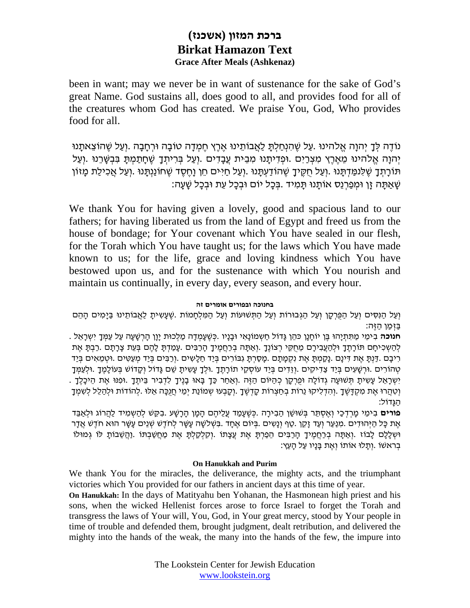been in want; may we never be in want of sustenance for the sake of God's great Name. God sustains all, does good to all, and provides food for all of the creatures whom God has created. We praise You, God, Who provides food for all.

ְ נוֹדֶה לִּךָ יְהוַה אֱלֹהינוּ .עַל שֶׁהְנְחַלְתַּ לַאֲבוֹתֵינוּ אֶרֶץ חֵמְדָה טוֹבָה וּרְחַבָה .וְעַל שֶׁהוֹצֵאתֲנוּ יְהוַה אֱלֹהינוּ מֵאֶרֶץ מִצְרָיִם .וּפְדִיתַנוּ מִבָּית עֲבָדִים .וְעַל בְּרִיתְךָ שֶׁחַתַמִתַּ בְּבָשֶּׁרֵנוּ תּוֹרָתְךָ שֶׁלִנְמֵדְתֵּנוּ .וְעַל חַקֵּיךָ שֶׁהוֹדַעְתֵּנוּ .וְעַל חֲמֶי הַיִּים חֵן וַחֲסֶד שֶׁחוֹנַנְתֵּנוּ .וְעַל אֲכִילֵת מֵזוֹן שָׁאַתַּה זַן וּמִפְרָנֵס אוֹתֲנוּ תַּמְיד .בִּכֲל יוֹם וּבְכֵל עֵת וּבְכֵל שַׁעֲה:

We thank You for having given a lovely, good and spacious land to our fathers; for having liberated us from the land of Egypt and freed us from the house of bondage; for Your covenant which You have sealed in our flesh, for the Torah which You have taught us; for the laws which You have made known to us; for the life, grace and loving kindness which You have bestowed upon us, and for the sustenance with which You nourish and maintain us continually, in every day, every season, and every hour.

### **בחנוכה ובפורים אומרים זה**

וְעַל הַנִּסִּים וְעַל הַפְּרְקָן וְעַל הַגְּבוּרוֹת וְעַל הַתְּשׁוּעוֹת וְעַל הַמִּלְחֲמוֹת .שֶׁעֲשִיתַ לַאֲבוֹתֵינוּ בַּיַּמִים הָהֶם בַּ זְ ּמַ ן הַ זֶּה:

<mark>חנוכה</mark> בִימֵי מַתִּתַיַהוּ בֵּן יוֹחַנֵן כּהֵן גַּדוֹל חַשְמוֹנַאִי וּבָנֵיו .כִּשֶׁעֲמִדָּה מַלְכוּת יָוֵן הַרְשָׁעָה עַל עַמְּדָ יִשְׂרָאֵל . לְהַשְּׁכִיחָם תּוֹרָתֶד וּלְהַעֲבִירָם מֶחְקֶי רְצוֹנֶד .וְאֲתָּה בְרָחֲמֶיד הָרַבְּיט .עָמַדְתָּ לָהֶם בְּעֶת צָרָתָם .רַבְתָּ אֶת ּרְיָבָם .דָּנְתָּ אֶת דִּינַם .נַקֲמְתָּ אֶת נִקְמַתָּם .מַסַרְתָּ גִבּוֹרִים בְּיַד חַלַשִּים .וְרַבְּים בְּיַד מִעַטִּים .וּטְמֵאִים בְּיַד ְטְהוֹרִים .וּרְשֶׁעִים בְּיַד צַדִּיקִים .וְזֵדִים בְּיַד עוֹסְקֵי תוֹרָתֶךָ .וּלְדָ עַשְׁיתַ שֵׁם גַּדוֹל וְקָדוֹשׁ בְּעוֹלָמֵךָ .וּלְעַמְּךָ . יִשְׁרָאֵל עַשְיתַ תִּשׁוּעָה גְדוֹלָה וּפִרְקֵן כְּהַיּוֹם הַזֶּה .וְאַחַר כָּךָ בָּאוּ בָנֵיךָ לְדָבְיר בֵּיתֶךָ .וּפְנּוּ אֶת הֵיכָלֵךָ וְטְהֵרוּ אֶת מְקָדָּשֶׁךָ .וְהִדְלִיקוּ נֵרוֹת בְּחַצְרוֹת קַדָּשֶׁךָ .וְקָבְעוּ שְמוֹנַת יְמֵי חֲנִכָּה אֵלוּ .לְהוֹדוֹת וּלְהַלֵּל לְשְׁמְדָ ַהגָּדוֹל:

**פורים** בִימֵי מָרִדְכֵי וְאֵסְתֵּר בִּשִּׁוּשַׁן הַבִּירָה .כִּשֶׁעֲמַד עֲלֵיהֵם הָמָן הָרָשָׁע .בִקֶּשׁ לִהַשְׁמִיד לַהֲרוֹג וּלִאֲבֵד אֶת כָּל הַיִּהוּדִים .מְנַעַר וְעַד זָקֵן .טַף וְנָשִים .בִּיוֹם אֱחָד .בִשְׁלשָׁה עָשֶׁר לְחֹדֶשׁ שָׁנֵים עָשֶׁר הוּא חֹדֵשׁ אֲדָר וּשְׁלָם לָבוֹז .וְאַתָּה בִרַחֲמֵיךָ הָרַבִּים הֵפַרִתָּ אֵת עֲצָתוֹ .וִקְלְקַלְתָּ אֵת מַחֲשַׁבִתּוֹ .וַהֲשֵׁבוֹתָ לוֹ גִמוּלוֹ ָ בְראשוֹ .וְתַלוּ אוֹתוֹ וְאֶת בַּנֵיו עַל הַעֵץ:

#### **On Hanukkah and Purim**

We thank You for the miracles, the deliverance, the mighty acts, and the triumphant victories which You provided for our fathers in ancient days at this time of year.

**On Hanukkah:** In the days of Matityahu ben Yohanan, the Hasmonean high priest and his sons, when the wicked Hellenist forces arose to force Israel to forget the Torah and transgress the laws of Your will, You, God, in Your great mercy, stood by Your people in time of trouble and defended them, brought judgment, dealt retribution, and delivered the mighty into the hands of the weak, the many into the hands of the few, the impure into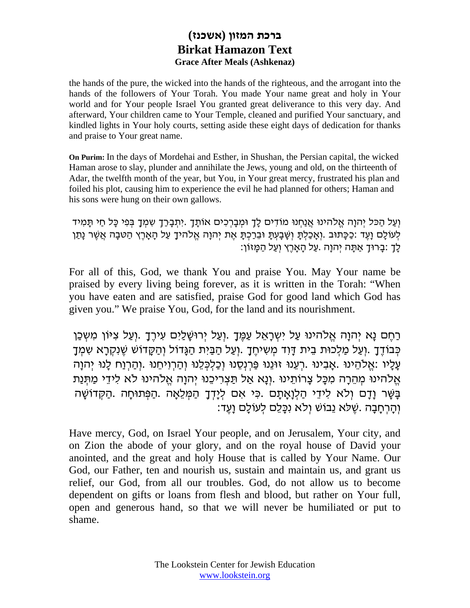the hands of the pure, the wicked into the hands of the righteous, and the arrogant into the hands of the followers of Your Torah. You made Your name great and holy in Your world and for Your people Israel You granted great deliverance to this very day. And afterward, Your children came to Your Temple, cleaned and purified Your sanctuary, and kindled lights in Your holy courts, setting aside these eight days of dedication for thanks and praise to Your great name.

**On Purim:** In the days of Mordehai and Esther, in Shushan, the Persian capital, the wicked Haman arose to slay, plunder and annihilate the Jews, young and old, on the thirteenth of Adar, the twelfth month of the year, but You, in Your great mercy, frustrated his plan and foiled his plot, causing him to experience the evil he had planned for others; Haman and his sons were hung on their own gallows.

וְעַל הַכּל יְהוַה אֱלֹהינוּ אֲנַחְנוּ מוֹדִים לֵדָ וּמְבָרְכִים אוֹתַדָ .יְתִבְרָד שְמְדָ בִּפִי כָּל חַי תַּמְיד לְעוֹלָם וָעֶד :כַ-כָּתוּב .וְאָכַלִתְּ וְשֶׁבָעִתָּ וּבֵרַכְתָּ אֶת יִהוָה אֱלֹהיךָ עַל הָאָרֶץ הַטּבָה אֲשֶׁר נָתַן ָ יָבְרוּךָ אַתַּה יְהוַה .עַל הַאַרֶץ וְעַל הַמַּזוֹן: {

For all of this, God, we thank You and praise You. May Your name be praised by every living being forever, as it is written in the Torah: "When you have eaten and are satisfied, praise God for good land which God has given you." We praise You, God, for the land and its nourishment.

ָרַחֶם נַא יְהוַה אֱלֹהינוּ עַל יִשְׁרָאֱל עַמֶּךָ .וְעֲל יְרוּשָׁלַיִם עִירֶךָ .וְעַל צִיּוֹן מִשְׁכַּן ָ כִּבוֹדֵךָ .וְעַל מַלְכוּת בֵית דָּוִד מְשִיחֵךָ .וְעַל הַבַּיִת הַגֲדוֹל וְהַקָּדוֹשׁ שֶׁנִקְרָא שְמָך ּ עֲלֵיוּ :אֱלֹהֵינוּ .אֲבִינוּ .רְעֵנוּ זוּנֵנוּ פֵּרְנְסֶנוּ וְכַלְכָּלֶנוּ וְהַרְוָיחֵנוּ .וְהַרְוַח לָנוּ יְהוַה אֱלֹהינוּ מְהֵרָה מִכָּל צָרוֹתֵינוּ .וְנָא אַל תַּצְרִיכֵנוּ יְהוָה אֱלֹהינוּ לֹא לִידֵי מַתְּנַת ָבְּשֶּׁר וַדָם וְלֹא לִידֵי הַלֶּוְאַתָּם .כִּי אִם לְיַדְדָ הַמִּלָאָה .הַפְּתוּחַה .הַקָּדוֹשָׁה וְהַרְחַבָּה .שֶׁלֹּא נֵבוֹשׁ וְלֹא נִכֲלֵם לְעוֹלַם וַעֶד:

Have mercy, God, on Israel Your people, and on Jerusalem, Your city, and on Zion the abode of your glory, and on the royal house of David your anointed, and the great and holy House that is called by Your Name. Our God, our Father, ten and nourish us, sustain and maintain us, and grant us relief, our God, from all our troubles. God, do not allow us to become dependent on gifts or loans from flesh and blood, but rather on Your full, open and generous hand, so that we will never be humiliated or put to shame.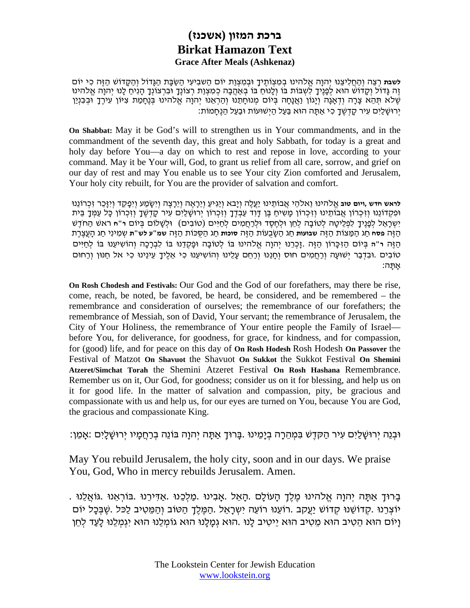ל**שבת** רִצֶה וְהַחֲלִיצֶנוּ יְהוַה אֱלֹהינוּ בְּמִצְוֹתֵיךָ וּבִמְצִוַת יוֹם הַשִּׁבִיעִי הַשַּׂבַּת הַגְּדוֹל וְהַקָּדוֹשׁ הַזֶּה כִּי יוֹם זֶה גַּדוֹל וְקָדוֹשׁ הוּא לְפָנֵיךָ לִשְבּוֹת בּוֹ וְלָנוּחַ בּוֹ בְאַהֲבָה כִמְצְוַת רְצוֹנֵךָ וּבִרְצוֹנְךָ הָנִיחַ לָנוּ יְהוָה אֱלֹהינוּ שֶׁ לֹא תְּהֵא צָרָה וְדָאָגָה וְיָגוֹן וַאֲנָחָה בְּיוֹם מְנוּחָתֵנוּ וְהַרְאֵנוּ יְהוָה אֱלֹהינוּ בְּנֶחָמַת צִיּוֹן עִירֶדָ וּבְבְנְיַן ַ יְרוּשַׁלִים עִיר קדשִׁך כִּי אַתָּה הוּא בַּעַל הישוּעוֹת וּבַעַל הַנַּחְמוֹת:

**On Shabbat:** May it be God's will to strengthen us in Your commandments, and in the commandment of the seventh day, this great and holy Sabbath, for today is a great and holy day before You—a day on which to rest and repose in love, according to your command. May it be Your will, God, to grant us relief from all care, sorrow, and grief on our day of rest and may You enable us to see Your city Zion comforted and Jerusalem, Your holy city rebuilt, for You are the provider of salvation and comfort.

להאש חדש ,**ויום טוב** אַלֹהינוּ וַאַלֹהי אֲבוֹתִינוּ יִעְלֹה וִיבְא וִיגִיע וִירְאָה וִירְצָה וְישָׂמַע וִיפַּקָד וְיָזֶכֵר זָכְרוֹננוּ וּפְקָדוֹנֵנוּ וְזִּכְרוֹן אֲבוֹתֵינוּ וְזִכְרוֹן מָשִיחַ בֶּן דָּוִד עַבְדֶד וְזִכְרוֹן יְרוּשָׁלַיִם עִיר קָדְשֶׁדָ וְזִכְרוֹן כָּל עַמְּדָ בֵּית יִ ש ְ רָ אֵ ל ל ְ פ ָ ָ נֶיך ל ִ פ ְ לֵ יטָ ה ל ְ טוֹבָ ה ל ְ חֵ ן וּל ְ חֶ סֶ ד וּל ְ רַ חֲ מ ִ ים ל ְ חַ יִּ ים (טוֹב ִ ים) וּל ְ שָׁ לוֹם בּ ְ יוֹם **ר"ח** ראשׁ הַ חֹדֶ שׁ הַ זֶּה **פסח** חַ ג הַ מַּ צוֹת הַ זֶּה **שבועות** חַ ג הַ שָׂ בֻעוֹת הַ זֶּה **סוכות** חַ ג הַ סֻּ כּוֹת הַ זֶּה **שמ"ע לש"ת** ש ְ מ ִ ינִ י חַ ג הָ עֲצֶ רֶ ת הַזֶּה ר''הּ בִּיוֹם הַזִּכְּרוֹן הַזֶּה .זָכְרֵנוּ יִהוָה אֱלֹהינוּ בּוֹ לְטוֹבָה וּפַקְדֶנוּ בּוֹ לִבְרָכָה וְהוֹשִיעֶנוּ בּוֹ לְחַיִּים טוֹבים .וּבדבר ישוּעה ורחמים חוּס וחנוּ ורחם עלינוּ והוֹשיענוּ כי אליד עינינוּ כי אל חנוּן ורחוּם :אִתָּה

**On Rosh Chodesh and Festivals:** Our God and the God of our forefathers, may there be rise, come, reach, be noted, be favored, be heard, be considered, and be remembered – the remembrance and consideration of ourselves; the remembrance of our forefathers; the remembrance of Messiah, son of David, Your servant; the remembrance of Jerusalem, the City of Your Holiness, the remembrance of Your entire people the Family of Israel before You, for deliverance, for goodness, for grace, for kindness, and for compassion, for (good) life, and for peace on this day of **On Rosh Hodesh** Rosh Hodesh **On Passover** the Festival of Matzot **On Shavuot** the Shavuot **On Sukkot** the Sukkot Festival **On Shemini Atzeret/Simchat Torah** the Shemini Atzeret Festival **On Rosh Hashana** Remembrance. Remember us on it, Our God, for goodness; consider us on it for blessing, and help us on it for good life. In the matter of salvation and compassion, pity, be gracious and compassionate with us and help us, for our eyes are turned on You, because You are God, the gracious and compassionate King.

וּבְנֶה יְרוּשַׁלַיִם עִיר הַקָּדֶשׁ בִּמְהֶרָה בְיָמֵינוּ .בָרוּךָ אַתֵּה יְהוַה בּוֹנֵה בְרַחֲמִיו יְרוּשַׁלַיִם :אַמֵן:

May You rebuild Jerusalem, the holy city, soon and in our days. We praise You, God, Who in mercy rebuilds Jerusalem. Amen.

. בְּרוּךָ אֲתָּה יְהוַה אֱלֹהינוּ מֶלֶךָ הַעוֹלָם .הָאֱל .אֲבִינוּ .מַלְכֶנוּ .אֲדִירֶנוּ .בּוֹרְאֵנוּ .גּוֹאֲלֵנוּ יוֹצְרֵנוּ .קְדוֹשֵׁנוּ קָדוֹשׁ יַעֲקב .רוֹעֵנוּ רוֹעֵה יִשְׁרָאֵל .הַמֶּלֶךָ הַטּוֹב וְהַמֵּטִיב לַכּל .שֶׁבִּכַל יוֹם וַיוֹם הוּא הֵטְיב הוּא מֵטִיב הוּא יֵיטִיב לָנוּ .הוּא גְמַלָנוּ הוּא גוֹמְלֶנוּ הוּא יְגְמְלֶנוּ לַעֲד לְחֵן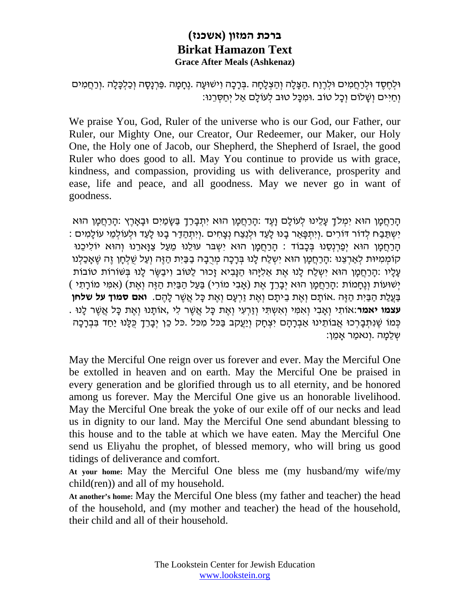וּלְחֵמָי וִ רָחֲמְים .הַצָּלָה וְהַצְלָחָה .בְּרָכָה וְישׁוּעָה .נֶחֲמַה .פָּרְנַסֶה וְכָלְכָּלָה .וְרָחֲמִים וְ חַ יִ ּים וְ שָׁ לוֹם וְ כָ ל טוֹב .וּמ ִ כָּ ל טוּב ל ְ עוֹלָ ם אַל יְ חַ סּ ְ רֵ נוּ:

We praise You, God, Ruler of the universe who is our God, our Father, our Ruler, our Mighty One, our Creator, Our Redeemer, our Maker, our Holy One, the Holy one of Jacob, our Shepherd, the Shepherd of Israel, the good Ruler who does good to all. May You continue to provide us with grace, kindness, and compassion, providing us with deliverance, prosperity and ease, life and peace, and all goodness. May we never go in want of goodness.

הָרַחֲמָן הוּא יִמְלֹךָ עָלֵינוּ לְעוֹלָם וָעֵד :הָרַחֲמֶן הוּא יִתְבָּרַךָ בַּשֶׂמַיִם וּבָאָרֵץ :הָרַחֲמֶן הוּא : יִשְׁתַּבָּח לְדוֹר דּוֹרִים .וְיִתְפָּאַר בָּנוּ לָעֲד וּלְנֵצֶח נְצָחִים .וְיִתְהַדָּר בָּנוּ לָעֵד וּלְעוֹלָמֵי עוֹלַמְים הַרַחֲמַן הוּא יְפַרְנְסֶנוּ בִּכָבוֹד : הַרַחֲמֵן הוּא יִשְבּר עוּלֵנוּ מֵעַל צַוַּארֵנוּ וְהוּא יוֹלִיכֵנוּ קוֹמְמְיּוּת לָאֲרָצֶנוּ :הֲרַחֲמֵן הוּא יִשְׁלֵח לָנוּ בְּרָכָה מְרָבָה בַּבֵּיָת הַזֶּה וְעַל שָׁלָחֵן זֶה שֶׁאֲכָלָנו ַ עֲלֵיו :הַרַחֲמֶן הוּא יִשְׂלֵח לָנוּ אֶת אֱלִיֲּהוּ הַנֵּבִיא זָכוּר לַטּוֹב וְיבַשֶּׂר לָנוּ בִּשּׁוֹרוֹת טוֹבוֹת יְ יִשׁוּעוֹת וְנֶחֲמוֹת :הַרַחֲמַן הוּא יְבָרֶךָ אֶת (אֲבִי מוֹרִי) בַּעֲל הַבַּיְת הַזֶּה וְאֶת) (אִמְּי מוֹרָתִי) בַּ עֲלַ ת הַ בַּ יִ ת הֶ ַ זּה .אוֹתָ ם וְ אֶ ת בֵ ּיתָ ם וְ אֶ ת זַר ְ עָ ם וְ אֶ ת כָּ ל אֲ שֶׁ ר לָ הֶ ם. **ואם סמוך על שלחן ַ עצמו יאמר**:אוֹתְי וְאֶבִי וְאִמְּי וְאִשְׁתְּי וְזֵרְעִי וְאֵת כָּל אֲשֶׁר לִי ,אוֹתָנוּ וְאֶת כָּל אֲשֶׁר לָנוּ ּכְּמוֹ שֶׁנְתְבָרְכוּ אֲבוֹתֵינוּ אַבְרָהָם יִצְחָק וְיַעֲקב בַּכּל מִכּל .כּל כֵן יִבָרֶךָ כְּלֶנוּ יַחַד בִּבְרָכָה :שְׁלֵמַה .וְנאמַר אַמֶן

May the Merciful One reign over us forever and ever. May the Merciful One be extolled in heaven and on earth. May the Merciful One be praised in every generation and be glorified through us to all eternity, and be honored among us forever. May the Merciful One give us an honorable livelihood. May the Merciful One break the yoke of our exile off of our necks and lead us in dignity to our land. May the Merciful One send abundant blessing to this house and to the table at which we have eaten. May the Merciful One send us Eliyahu the prophet, of blessed memory, who will bring us good tidings of deliverance and comfort.

**At your home:** May the Merciful One bless me (my husband/my wife/my child(ren)) and all of my household.

**At another's home:** May the Merciful One bless (my father and teacher) the head of the household, and (my mother and teacher) the head of the household, their child and all of their household.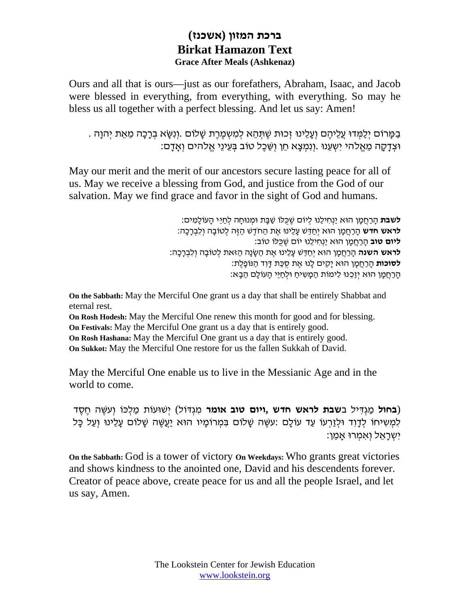Ours and all that is ours—just as our forefathers, Abraham, Isaac, and Jacob were blessed in everything, from everything, with everything. So may he bless us all together with a perfect blessing. And let us say: Amen!

ַ בַּמֶּרוֹם יְלַמְּדוּ עֲלֵיהֶם וְעָלֵינוּ זְכוּת שֶׁתְּהֶא לִמְשְׁמֶרֶת שָׁלוֹם .וְנִשָּׂא בְרָכָה מֵאֵת יְהוָה וּצְדָקָה מֵאֱלֹהי יִשְׁעֵנוּ .וְנִמְצָא חֵן וְשֵׁכֵל טוֹב בִּעֵינֵי אֱלֹהים וְאָדָם:

May our merit and the merit of our ancestors secure lasting peace for all of us. May we receive a blessing from God, and justice from the God of our salvation. May we find grace and favor in the sight of God and humans.

> **לשבת** הַרַחֲמַן הוּא יַנְחִילֵנוּ לְיוֹם שֶׁכְּלוֹ שַׁבַּת וּמְנוּחַה לְחַיֵּי הַעוֹלָמִים: **לראש חדש** הָרַחֲמָן הוּא יִחַדֵּשׁ עָלֵינוּ אֶת הַחֹדֵשׁ הַזֵּה לְטוֹבָה וְלִבְרָכָה: **ליום טוב** הַרַחֲמַן הוּא יַנְחִילֵנוּ יוֹם שֶׁכְּלוֹ טוֹב: **לראש השנה** הַרַחֲמֵן הוּא יְחַדֵּשׁ עָלֵינוּ אֶת הַשְׂנֵה הַזּאת לְטוֹבָה וְלָבְרָכָה: **לסוכות** הַרַחֲמֵן הוּא יַקִים לָנוּ אֶת סְכַּת דַּוְד הַנּוֹפָלֶת: הַרַחֲמַן הוּא יְזַכֵּנוּ לִימוֹת הַמַּשִׂיחַ וּלְחַיֵּי הַעוֹלָם הַבָּא:

**On the Sabbath:** May the Merciful One grant us a day that shall be entirely Shabbat and eternal rest.

**On Rosh Hodesh:** May the Merciful One renew this month for good and for blessing. **On Festivals:** May the Merciful One grant us a day that is entirely good. **On Rosh Hashana:** May the Merciful One grant us a day that is entirely good.

**On Sukkot:** May the Merciful One restore for us the fallen Sukkah of David.

May the Merciful One enable us to live in the Messianic Age and in the world to come.

(**בחול** מגדיל ב**שבת לראש חדש ,ויום טוב אומר** מגדול) ישועות מלכו ועשה חסד למשיחוֹ לדוד וּלזרעוֹ עד עוֹלם :עשִּׁה שַׁלוֹם בּמרוֹמיו הוּא יעשִׁה שִׁלוֹם עַלינוּ ועַל כַּל יִשְׁרָאֵל וְאִמְרוּ אַמֵן:

**On the Sabbath:** God is a tower of victory **On Weekdays:** Who grants great victories and shows kindness to the anointed one, David and his descendents forever. Creator of peace above, create peace for us and all the people Israel, and let us say, Amen.